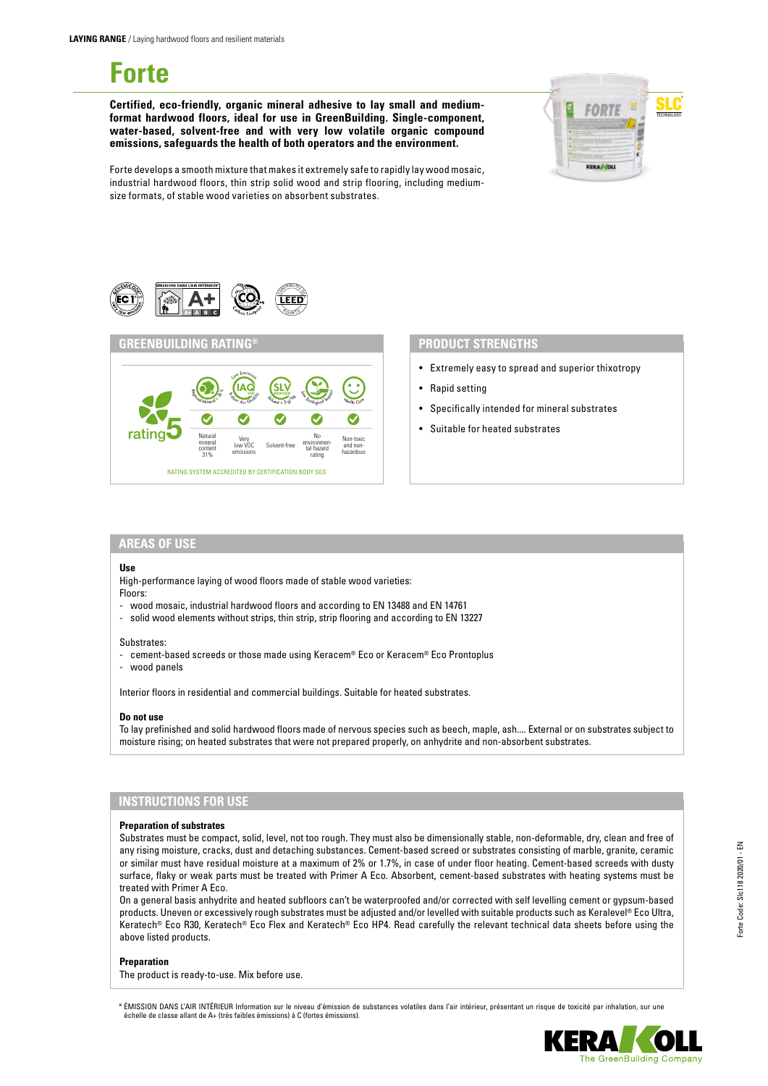# **Forte**

**Certified, eco-friendly, organic mineral adhesive to lay small and mediumformat hardwood floors, ideal for use in GreenBuilding. Single-component, water-based, solvent-free and with very low volatile organic compound emissions, safeguards the health of both operators and the environment.**



Forte develops a smooth mixture that makes it extremely safe to rapidly lay wood mosaic, industrial hardwood floors, thin strip solid wood and strip flooring, including mediumsize formats, of stable wood varieties on absorbent substrates.





- Extremely easy to spread and superior thixotropy
- Rapid setting
- Specifically intended for mineral substrates
- Suitable for heated substrates

# **AREAS OF USE**

#### **Use**

High-performance laying of wood floors made of stable wood varieties: Floors:

- wood mosaic, industrial hardwood floors and according to EN 13488 and EN 14761
- solid wood elements without strips, thin strip, strip flooring and according to EN 13227

#### Substrates:

- cement-based screeds or those made using Keracem® Eco or Keracem® Eco Prontoplus
- wood panels

Interior floors in residential and commercial buildings. Suitable for heated substrates.

#### **Do not use**

To lay prefinished and solid hardwood floors made of nervous species such as beech, maple, ash.... External or on substrates subject to moisture rising; on heated substrates that were not prepared properly, on anhydrite and non-absorbent substrates.

# **INSTRUCTIONS FOR USE**

#### **Preparation of substrates**

Substrates must be compact, solid, level, not too rough. They must also be dimensionally stable, non-deformable, dry, clean and free of any rising moisture, cracks, dust and detaching substances. Cement-based screed or substrates consisting of marble, granite, ceramic or similar must have residual moisture at a maximum of 2% or 1.7%, in case of under floor heating. Cement-based screeds with dusty surface, flaky or weak parts must be treated with Primer A Eco. Absorbent, cement-based substrates with heating systems must be treated with Primer A Eco.

On a general basis anhydrite and heated subfloors can't be waterproofed and/or corrected with self levelling cement or gypsum-based products. Uneven or excessively rough substrates must be adjusted and/or levelled with suitable products such as Keralevel® Eco Ultra, Keratech® Eco R30, Keratech® Eco Flex and Keratech® Eco HP4. Read carefully the relevant technical data sheets before using the above listed products.

#### **Preparation**

The product is ready-to-use. Mix before use.

\* ÉMISSION DANS L'AIR INTÉRIEUR Information sur le niveau d'émission de substances volatiles dans l'air intérieur, présentant un risque de toxicité par inhalation, sur une échelle de classe allant de A+ (très faibles émissions) à C (fortes émissions).